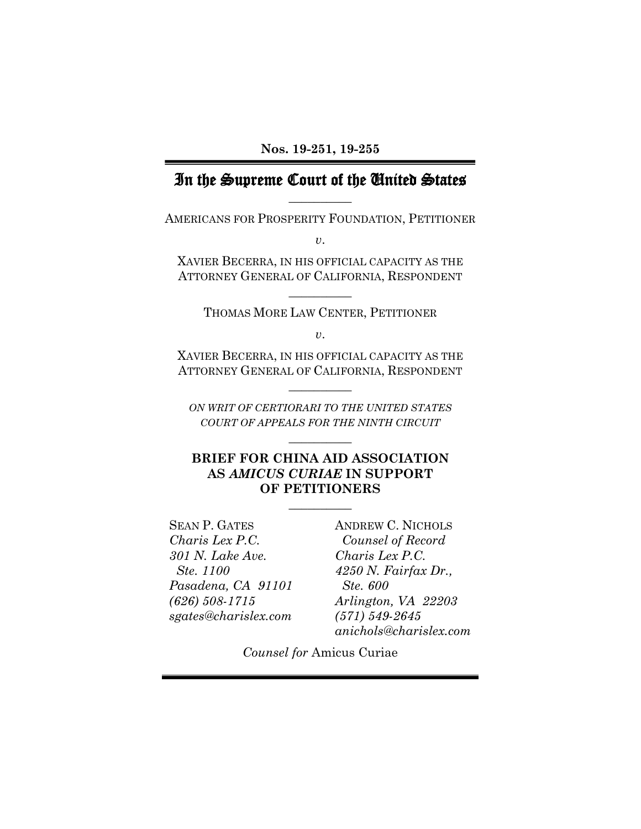## In the Supreme Court of the United States **\_\_\_\_\_\_\_\_\_\_**

AMERICANS FOR PROSPERITY FOUNDATION, PETITIONER

*v*.

XAVIER BECERRA, IN HIS OFFICIAL CAPACITY AS THE ATTORNEY GENERAL OF CALIFORNIA, RESPONDENT

**\_\_\_\_\_\_\_\_\_\_** 

THOMAS MORE LAW CENTER, PETITIONER

*v*.

XAVIER BECERRA, IN HIS OFFICIAL CAPACITY AS THE ATTORNEY GENERAL OF CALIFORNIA, RESPONDENT

**\_\_\_\_\_\_\_\_\_\_** 

*ON WRIT OF CERTIORARI TO THE UNITED STATES COURT OF APPEALS FOR THE NINTH CIRCUIT*

**\_\_\_\_\_\_\_\_\_\_** 

#### **BRIEF FOR CHINA AID ASSOCIATION AS** *AMICUS CURIAE* **IN SUPPORT OF PETITIONERS**

 $\overline{\phantom{a}}$   $\overline{\phantom{a}}$ 

SEAN P. GATES ANDREW C. NICHOLS *Charis Lex P.C. Counsel of Record 301 N. Lake Ave. Charis Lex P.C. Pasadena, CA 91101 Ste. 600 sgates@charislex.com (571) 549-2645*

 *Ste. 1100 4250 N. Fairfax Dr., (626) 508-1715 Arlington, VA 22203 anichols@charislex.com*

*Counsel for* Amicus Curiae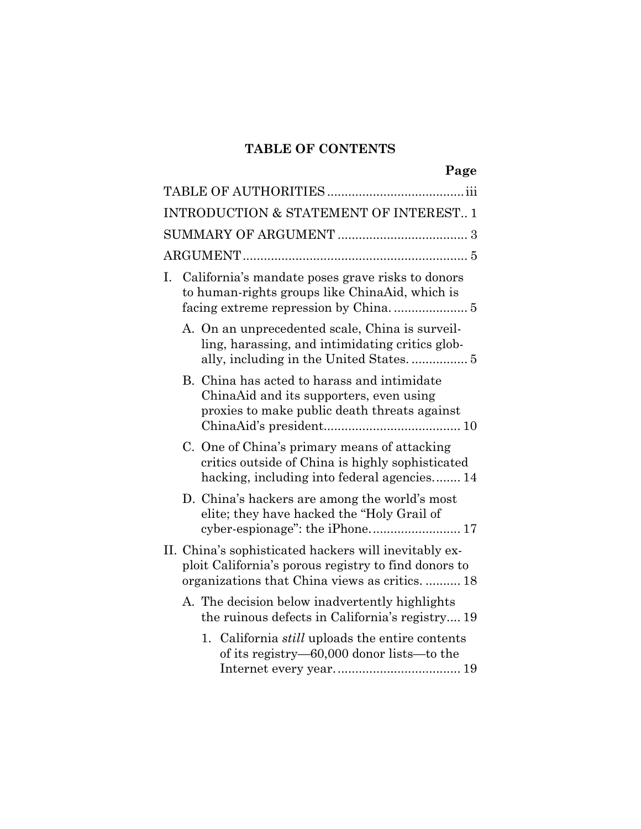# **TABLE OF CONTENTS**

|    |                                                                                                                                                                 | Page |
|----|-----------------------------------------------------------------------------------------------------------------------------------------------------------------|------|
|    |                                                                                                                                                                 |      |
|    | <b>INTRODUCTION &amp; STATEMENT OF INTEREST 1</b>                                                                                                               |      |
|    |                                                                                                                                                                 |      |
|    |                                                                                                                                                                 |      |
| I. | California's mandate poses grave risks to donors<br>to human-rights groups like ChinaAid, which is                                                              |      |
|    | A. On an unprecedented scale, China is surveil-<br>ling, harassing, and intimidating critics glob-<br>ally, including in the United States 5                    |      |
|    | B. China has acted to harass and intimidate<br>ChinaAid and its supporters, even using<br>proxies to make public death threats against                          |      |
|    | C. One of China's primary means of attacking<br>critics outside of China is highly sophisticated<br>hacking, including into federal agencies 14                 |      |
|    | D. China's hackers are among the world's most<br>elite; they have hacked the "Holy Grail of                                                                     |      |
|    | II. China's sophisticated hackers will inevitably ex-<br>ploit California's porous registry to find donors to<br>organizations that China views as critics.  18 |      |
|    | A. The decision below inadvertently highlights<br>the ruinous defects in California's registry 19                                                               |      |
|    | California <i>still</i> uploads the entire contents<br>1.<br>of its registry—60,000 donor lists—to the                                                          |      |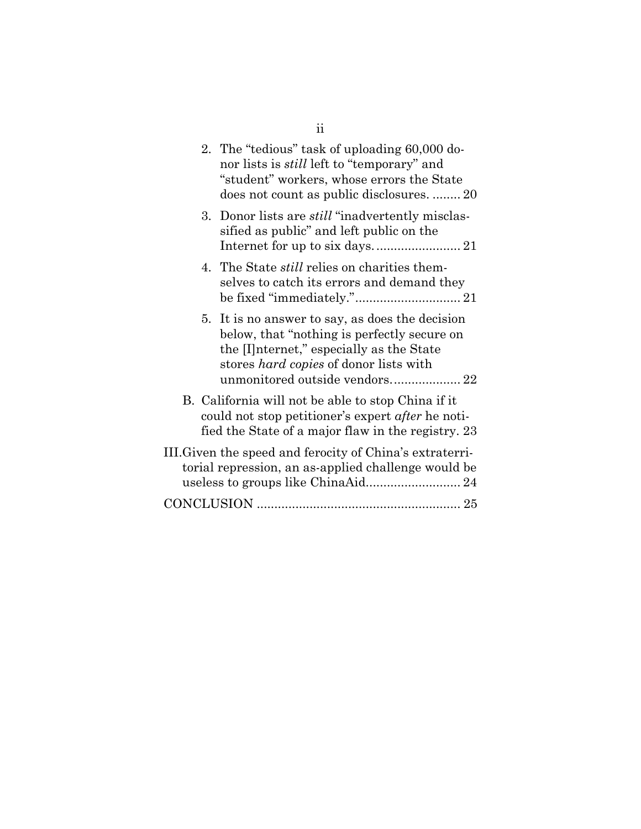| 2. The "tedious" task of uploading 60,000 do-<br>nor lists is <i>still</i> left to "temporary" and<br>"student" workers, whose errors the State<br>does not count as public disclosures.  20                                |
|-----------------------------------------------------------------------------------------------------------------------------------------------------------------------------------------------------------------------------|
| 3. Donor lists are <i>still</i> "inadvertently misclas-<br>sified as public" and left public on the                                                                                                                         |
| 4. The State <i>still</i> relies on charities them-<br>selves to catch its errors and demand they                                                                                                                           |
| 5. It is no answer to say, as does the decision<br>below, that "nothing is perfectly secure on<br>the Internet," especially as the State<br>stores <i>hard copies</i> of donor lists with<br>unmonitored outside vendors 22 |
| B. California will not be able to stop China if it<br>could not stop petitioner's expert <i>after</i> he noti-<br>fied the State of a major flaw in the registry. 23                                                        |
| III. Given the speed and ferocity of China's extraterri-<br>torial repression, an as-applied challenge would be                                                                                                             |
|                                                                                                                                                                                                                             |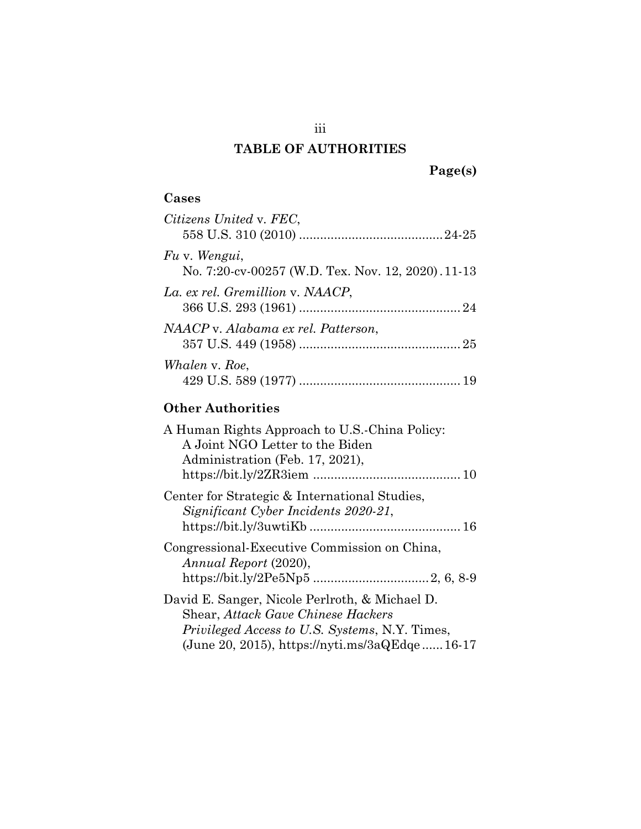## **TABLE OF AUTHORITIES**

## **Cases**

| Citizens United v. FEC.                                             |  |
|---------------------------------------------------------------------|--|
| Fu v. Wengui,<br>No. 7:20-cv-00257 (W.D. Tex. Nov. 12, 2020). 11-13 |  |
| La. ex rel. Gremillion v. NAACP,                                    |  |
| NAACP v. Alabama ex rel. Patterson,                                 |  |
| Whalen v. Roe,                                                      |  |

# **Other Authorities**

| A Human Rights Approach to U.S.-China Policy:<br>A Joint NGO Letter to the Biden<br>Administration (Feb. 17, 2021),                                                                                   |
|-------------------------------------------------------------------------------------------------------------------------------------------------------------------------------------------------------|
| Center for Strategic & International Studies,<br>Significant Cyber Incidents 2020-21,                                                                                                                 |
| Congressional-Executive Commission on China,<br>Annual Report (2020),                                                                                                                                 |
| David E. Sanger, Nicole Perlroth, & Michael D.<br><b>Shear, Attack Gave Chinese Hackers</b><br><i>Privileged Access to U.S. Systems, N.Y. Times,</i><br>(June 20, 2015), https://nyti.ms/3aQEdge16-17 |

iii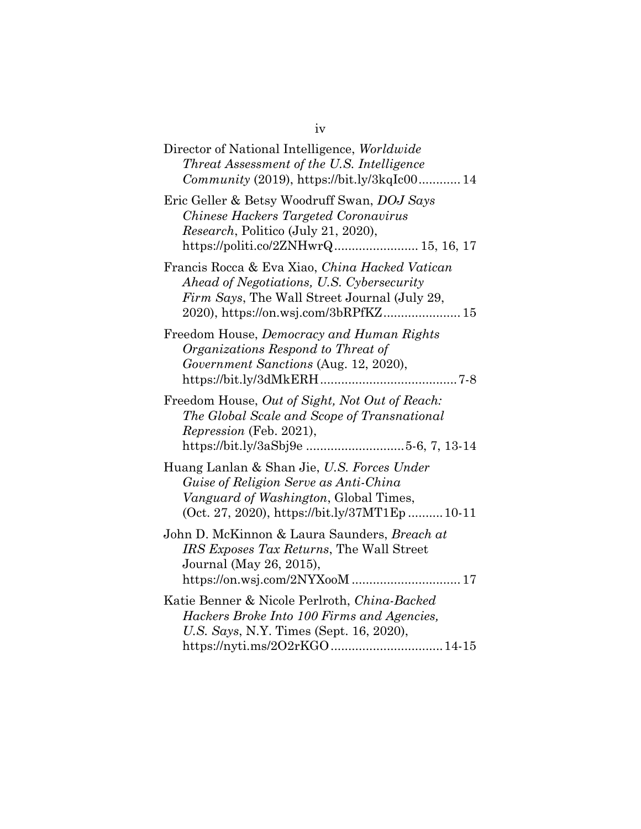## iv

| Director of National Intelligence, Worldwide<br>Threat Assessment of the U.S. Intelligence<br>Community (2019), https://bit.ly/3kqIc00 14                                                      |
|------------------------------------------------------------------------------------------------------------------------------------------------------------------------------------------------|
| Eric Geller & Betsy Woodruff Swan, DOJ Says<br>Chinese Hackers Targeted Coronavirus<br><i>Research</i> , Politico (July 21, 2020),<br>${\rm \textbf{https://politi.co/2ZNHwrQ}}15,\, 16,\, 17$ |
| Francis Rocca & Eva Xiao, China Hacked Vatican<br>Ahead of Negotiations, U.S. Cybersecurity<br>Firm Says, The Wall Street Journal (July 29,                                                    |
| Freedom House, Democracy and Human Rights<br>Organizations Respond to Threat of<br>Government Sanctions (Aug. 12, 2020),                                                                       |
| Freedom House, Out of Sight, Not Out of Reach:<br>The Global Scale and Scope of Transnational<br>Repression (Feb. 2021),<br>https://bit.ly/3aSbj9e 5-6, 7, 13-14                               |
| Huang Lanlan & Shan Jie, U.S. Forces Under<br>Guise of Religion Serve as Anti-China<br>Vanguard of Washington, Global Times,<br>(Oct. 27, 2020), https://bit.ly/37MT1Ep10-11                   |
| John D. McKinnon & Laura Saunders, Breach at<br>IRS Exposes Tax Returns, The Wall Street<br>Journal (May 26, 2015),<br>https://on.wsj.com/2NYXooM  17                                          |
| Katie Benner & Nicole Perlroth, China-Backed<br>Hackers Broke Into 100 Firms and Agencies,<br>U.S. Says, N.Y. Times (Sept. 16, 2020),                                                          |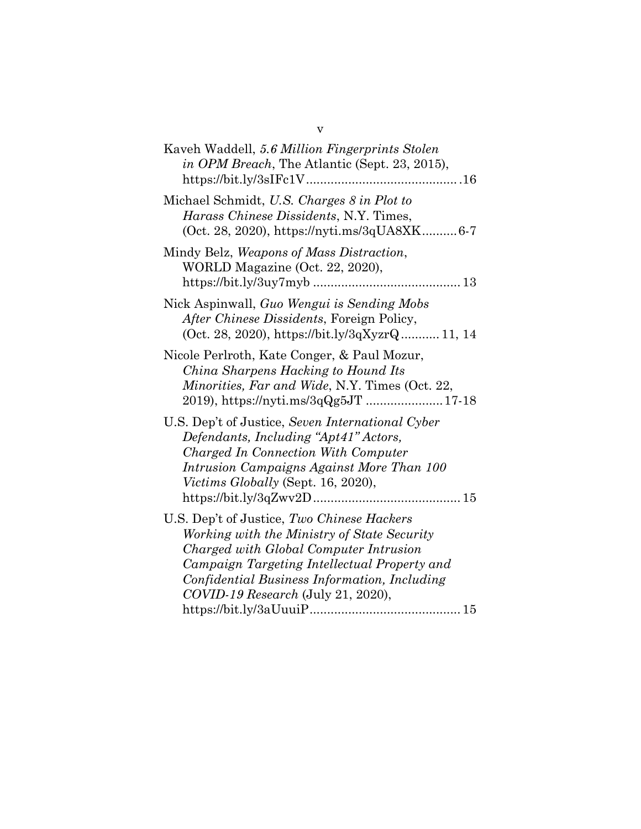| Michael Schmidt, U.S. Charges 8 in Plot to<br>Harass Chinese Dissidents, N.Y. Times,<br>(Oct. 28, 2020), https://nyti.ms/3qUA8XK6-7<br>Mindy Belz, Weapons of Mass Distraction,<br>WORLD Magazine (Oct. 22, 2020),<br>Nick Aspinwall, Guo Wengui is Sending Mobs<br>After Chinese Dissidents, Foreign Policy,<br>(Oct. 28, 2020), https://bit.ly/3qXyzrQ11, 14<br>Nicole Perlroth, Kate Conger, & Paul Mozur,<br>China Sharpens Hacking to Hound Its<br>Minorities, Far and Wide, N.Y. Times (Oct. 22,<br>2019), https://nyti.ms/3qQg5JT  17-18 |
|-------------------------------------------------------------------------------------------------------------------------------------------------------------------------------------------------------------------------------------------------------------------------------------------------------------------------------------------------------------------------------------------------------------------------------------------------------------------------------------------------------------------------------------------------|
|                                                                                                                                                                                                                                                                                                                                                                                                                                                                                                                                                 |
|                                                                                                                                                                                                                                                                                                                                                                                                                                                                                                                                                 |
|                                                                                                                                                                                                                                                                                                                                                                                                                                                                                                                                                 |
|                                                                                                                                                                                                                                                                                                                                                                                                                                                                                                                                                 |
| U.S. Dep't of Justice, Seven International Cyber<br>Defendants, Including "Apt41" Actors,<br>Charged In Connection With Computer<br>Intrusion Campaigns Against More Than 100<br><i>Victims Globally</i> (Sept. 16, 2020),                                                                                                                                                                                                                                                                                                                      |
| U.S. Dep't of Justice, Two Chinese Hackers<br>Working with the Ministry of State Security<br>Charged with Global Computer Intrusion<br>Campaign Targeting Intellectual Property and<br>Confidential Business Information, Including<br>COVID-19 Research (July 21, 2020),                                                                                                                                                                                                                                                                       |

v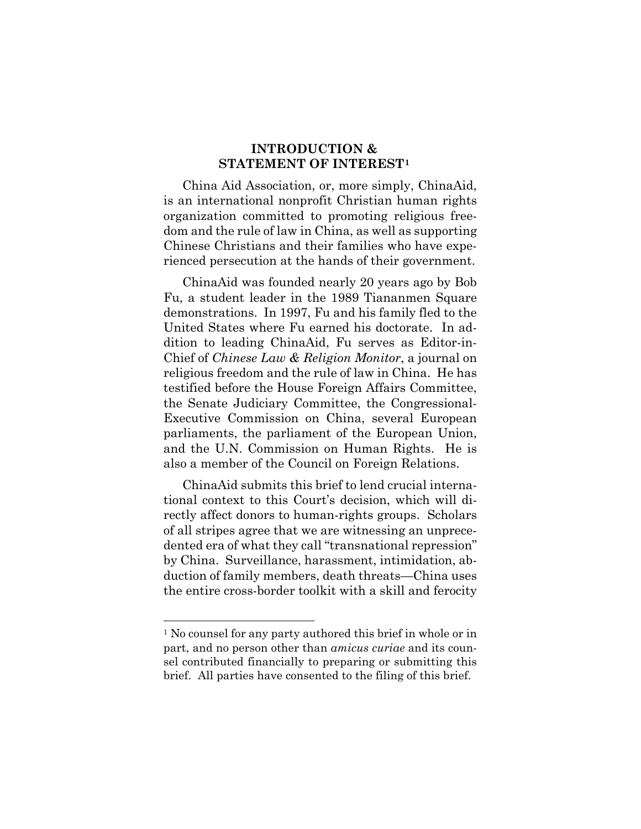#### **INTRODUCTION & STATEMENT OF INTEREST[1](#page-6-0)**

China Aid Association, or, more simply, ChinaAid, is an international nonprofit Christian human rights organization committed to promoting religious freedom and the rule of law in China, as well as supporting Chinese Christians and their families who have experienced persecution at the hands of their government.

ChinaAid was founded nearly 20 years ago by Bob Fu, a student leader in the 1989 Tiananmen Square demonstrations. In 1997, Fu and his family fled to the United States where Fu earned his doctorate. In addition to leading ChinaAid, Fu serves as Editor-in-Chief of *Chinese Law & Religion Monitor*, a journal on religious freedom and the rule of law in China. He has testified before the House Foreign Affairs Committee, the Senate Judiciary Committee, the Congressional-Executive Commission on China, several European parliaments, the parliament of the European Union, and the U.N. Commission on Human Rights. He is also a member of the Council on Foreign Relations.

ChinaAid submits this brief to lend crucial international context to this Court's decision, which will directly affect donors to human-rights groups. Scholars of all stripes agree that we are witnessing an unprecedented era of what they call "transnational repression" by China. Surveillance, harassment, intimidation, abduction of family members, death threats—China uses the entire cross-border toolkit with a skill and ferocity

<span id="page-6-0"></span><sup>&</sup>lt;sup>1</sup> No counsel for any party authored this brief in whole or in part, and no person other than *amicus curiae* and its counsel contributed financially to preparing or submitting this brief. All parties have consented to the filing of this brief.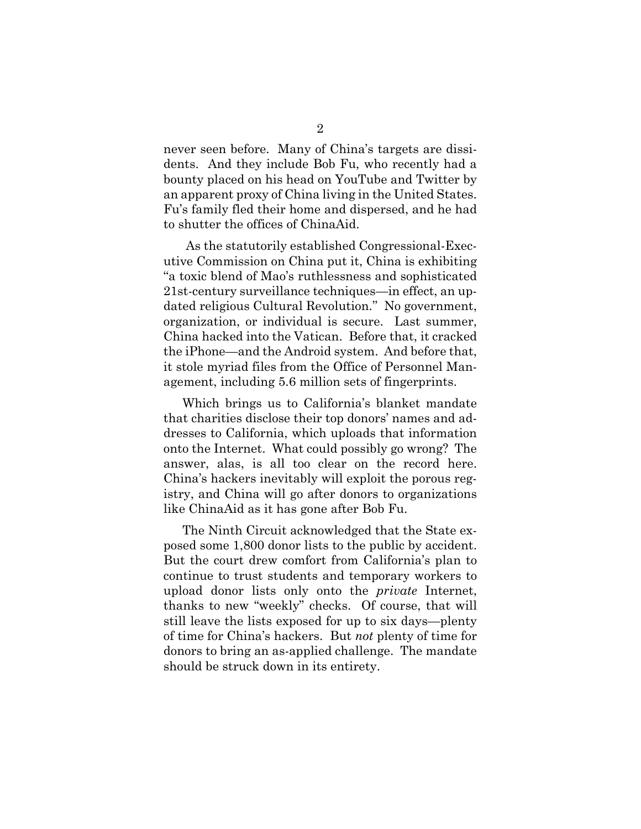never seen before. Many of China's targets are dissidents. And they include Bob Fu, who recently had a bounty placed on his head on YouTube and Twitter by an apparent proxy of China living in the United States. Fu's family fled their home and dispersed, and he had to shutter the offices of ChinaAid.

As the statutorily established Congressional-Executive Commission on China put it, China is exhibiting "a toxic blend of Mao's ruthlessness and sophisticated 21st-century surveillance techniques—in effect, an updated religious Cultural Revolution.'' No government, organization, or individual is secure. Last summer, China hacked into the Vatican. Before that, it cracked the iPhone—and the Android system. And before that, it stole myriad files from the Office of Personnel Management, including 5.6 million sets of fingerprints.

Which brings us to California's blanket mandate that charities disclose their top donors' names and addresses to California, which uploads that information onto the Internet. What could possibly go wrong? The answer, alas, is all too clear on the record here. China's hackers inevitably will exploit the porous registry, and China will go after donors to organizations like ChinaAid as it has gone after Bob Fu.

The Ninth Circuit acknowledged that the State exposed some 1,800 donor lists to the public by accident. But the court drew comfort from California's plan to continue to trust students and temporary workers to upload donor lists only onto the *private* Internet, thanks to new "weekly" checks. Of course, that will still leave the lists exposed for up to six days—plenty of time for China's hackers. But *not* plenty of time for donors to bring an as-applied challenge. The mandate should be struck down in its entirety.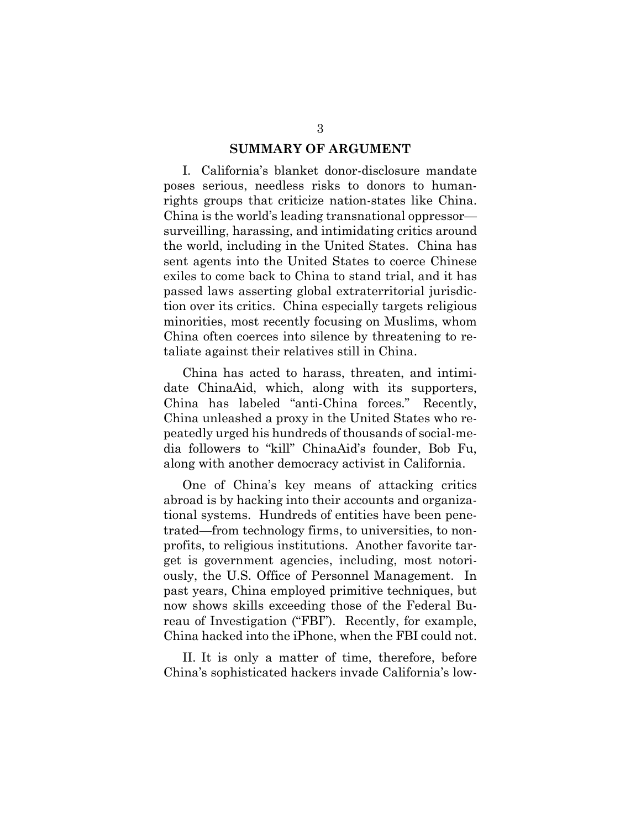#### **SUMMARY OF ARGUMENT**

I. California's blanket donor-disclosure mandate poses serious, needless risks to donors to humanrights groups that criticize nation-states like China. China is the world's leading transnational oppressor surveilling, harassing, and intimidating critics around the world, including in the United States. China has sent agents into the United States to coerce Chinese exiles to come back to China to stand trial, and it has passed laws asserting global extraterritorial jurisdiction over its critics. China especially targets religious minorities, most recently focusing on Muslims, whom China often coerces into silence by threatening to retaliate against their relatives still in China.

China has acted to harass, threaten, and intimidate ChinaAid, which, along with its supporters, China has labeled "anti-China forces." Recently, China unleashed a proxy in the United States who repeatedly urged his hundreds of thousands of social-media followers to "kill" ChinaAid's founder, Bob Fu, along with another democracy activist in California.

One of China's key means of attacking critics abroad is by hacking into their accounts and organizational systems. Hundreds of entities have been penetrated—from technology firms, to universities, to nonprofits, to religious institutions. Another favorite target is government agencies, including, most notoriously, the U.S. Office of Personnel Management. In past years, China employed primitive techniques, but now shows skills exceeding those of the Federal Bureau of Investigation ("FBI"). Recently, for example, China hacked into the iPhone, when the FBI could not.

II. It is only a matter of time, therefore, before China's sophisticated hackers invade California's low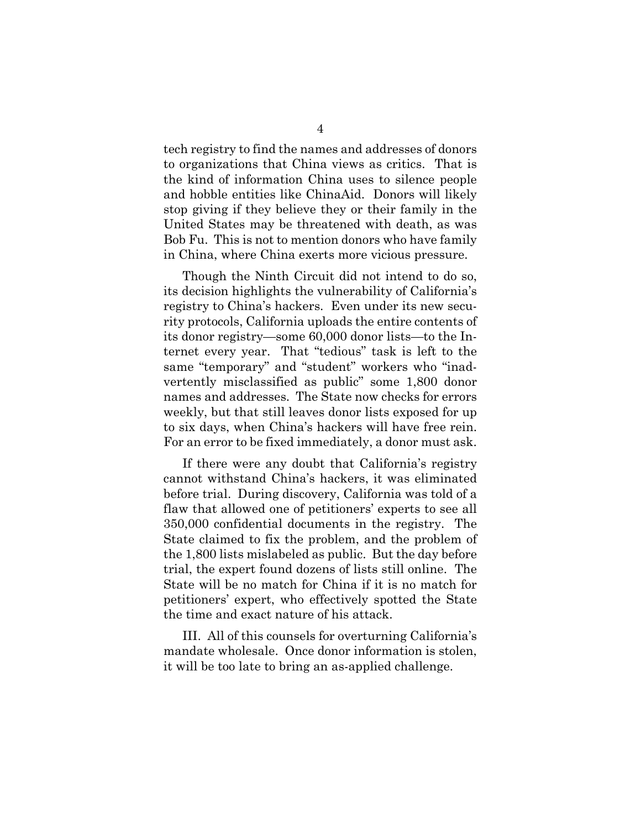tech registry to find the names and addresses of donors to organizations that China views as critics. That is the kind of information China uses to silence people and hobble entities like ChinaAid. Donors will likely stop giving if they believe they or their family in the United States may be threatened with death, as was Bob Fu. This is not to mention donors who have family in China, where China exerts more vicious pressure.

Though the Ninth Circuit did not intend to do so, its decision highlights the vulnerability of California's registry to China's hackers. Even under its new security protocols, California uploads the entire contents of its donor registry—some 60,000 donor lists—to the Internet every year. That "tedious" task is left to the same "temporary" and "student" workers who "inadvertently misclassified as public" some 1,800 donor names and addresses. The State now checks for errors weekly, but that still leaves donor lists exposed for up to six days, when China's hackers will have free rein. For an error to be fixed immediately, a donor must ask.

If there were any doubt that California's registry cannot withstand China's hackers, it was eliminated before trial. During discovery, California was told of a flaw that allowed one of petitioners' experts to see all 350,000 confidential documents in the registry. The State claimed to fix the problem, and the problem of the 1,800 lists mislabeled as public. But the day before trial, the expert found dozens of lists still online. The State will be no match for China if it is no match for petitioners' expert, who effectively spotted the State the time and exact nature of his attack.

III. All of this counsels for overturning California's mandate wholesale. Once donor information is stolen, it will be too late to bring an as-applied challenge.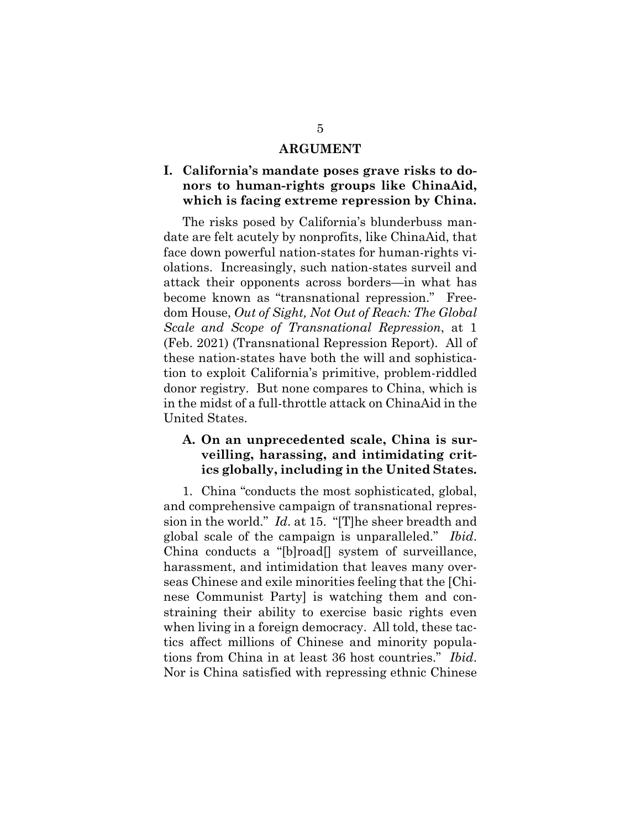#### **ARGUMENT**

#### **I. California's mandate poses grave risks to donors to human-rights groups like ChinaAid, which is facing extreme repression by China.**

The risks posed by California's blunderbuss mandate are felt acutely by nonprofits, like ChinaAid, that face down powerful nation-states for human-rights violations. Increasingly, such nation-states surveil and attack their opponents across borders—in what has become known as "transnational repression." Freedom House, *Out of Sight, Not Out of Reach: The Global Scale and Scope of Transnational Repression*, at 1 (Feb. 2021) (Transnational Repression Report). All of these nation-states have both the will and sophistication to exploit California's primitive, problem-riddled donor registry. But none compares to China, which is in the midst of a full-throttle attack on ChinaAid in the United States.

#### **A. On an unprecedented scale, China is surveilling, harassing, and intimidating critics globally, including in the United States.**

1. China "conducts the most sophisticated, global, and comprehensive campaign of transnational repression in the world." *Id*. at 15. "[T]he sheer breadth and global scale of the campaign is unparalleled." *Ibid*. China conducts a "[b]road[] system of surveillance, harassment, and intimidation that leaves many overseas Chinese and exile minorities feeling that the [Chinese Communist Party] is watching them and constraining their ability to exercise basic rights even when living in a foreign democracy. All told, these tactics affect millions of Chinese and minority populations from China in at least 36 host countries." *Ibid*. Nor is China satisfied with repressing ethnic Chinese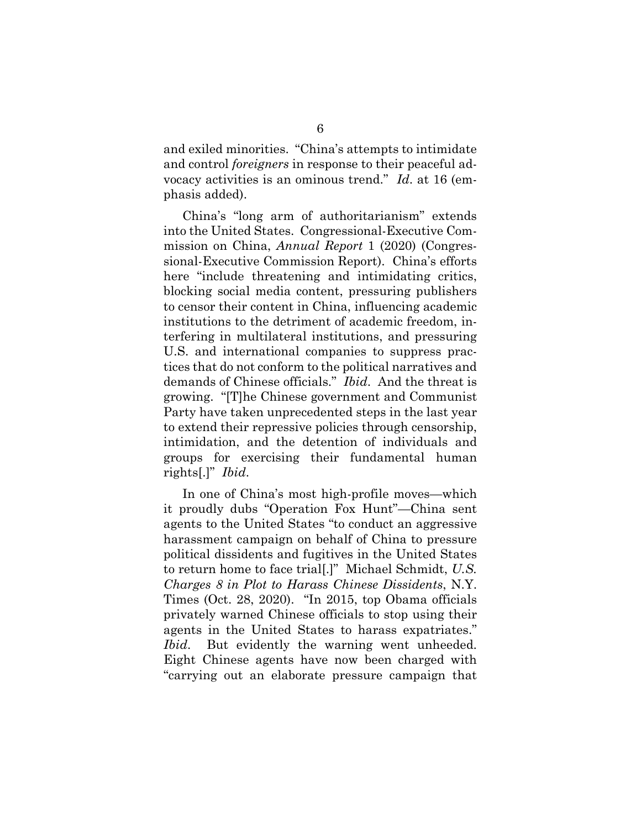and exiled minorities. "China's attempts to intimidate and control *foreigners* in response to their peaceful advocacy activities is an ominous trend." *Id*. at 16 (emphasis added).

China's "long arm of authoritarianism" extends into the United States. Congressional-Executive Commission on China, *Annual Report* 1 (2020) (Congressional-Executive Commission Report). China's efforts here "include threatening and intimidating critics, blocking social media content, pressuring publishers to censor their content in China, influencing academic institutions to the detriment of academic freedom, interfering in multilateral institutions, and pressuring U.S. and international companies to suppress practices that do not conform to the political narratives and demands of Chinese officials." *Ibid*. And the threat is growing. "[T]he Chinese government and Communist Party have taken unprecedented steps in the last year to extend their repressive policies through censorship, intimidation, and the detention of individuals and groups for exercising their fundamental human rights[.]" *Ibid*.

In one of China's most high-profile moves—which it proudly dubs "Operation Fox Hunt"—China sent agents to the United States "to conduct an aggressive harassment campaign on behalf of China to pressure political dissidents and fugitives in the United States to return home to face trial[.]" Michael Schmidt, *U.S. Charges 8 in Plot to Harass Chinese Dissidents*, N.Y. Times (Oct. 28, 2020). "In 2015, top Obama officials privately warned Chinese officials to stop using their agents in the United States to harass expatriates." *Ibid*. But evidently the warning went unheeded. Eight Chinese agents have now been charged with "carrying out an elaborate pressure campaign that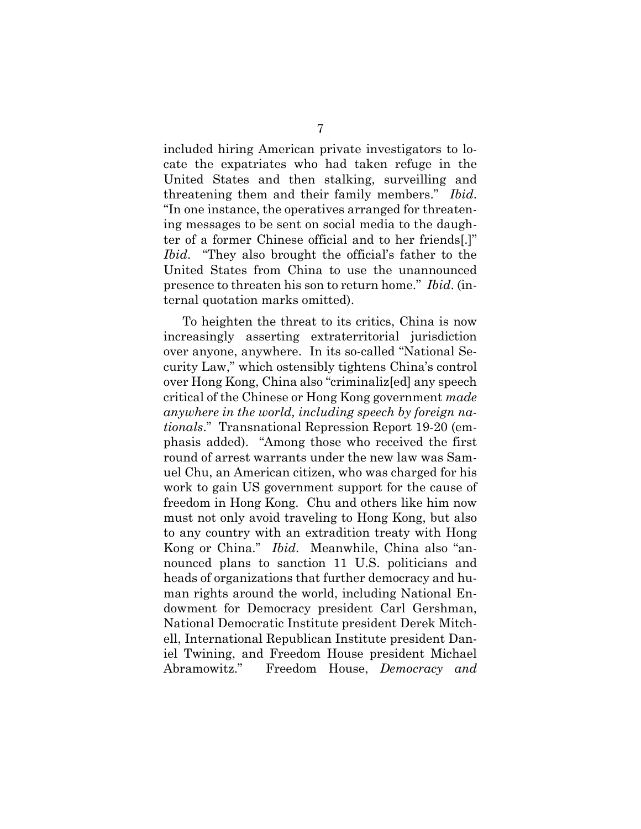included hiring American private investigators to locate the expatriates who had taken refuge in the United States and then stalking, surveilling and threatening them and their family members." *Ibid*. "In one instance, the operatives arranged for threatening messages to be sent on social media to the daughter of a former Chinese official and to her friends[.]" *Ibid*. "They also brought the official's father to the United States from China to use the unannounced presence to threaten his son to return home." *Ibid*. (internal quotation marks omitted).

To heighten the threat to its critics, China is now increasingly asserting extraterritorial jurisdiction over anyone, anywhere. In its so-called "National Security Law," which ostensibly tightens China's control over Hong Kong, China also "criminaliz[ed] any speech critical of the Chinese or Hong Kong government *made anywhere in the world, including speech by foreign nationals*." Transnational Repression Report 19-20 (emphasis added). "Among those who received the first round of arrest warrants under the new law was Samuel Chu, an American citizen, who was charged for his work to gain US government support for the cause of freedom in Hong Kong. Chu and others like him now must not only avoid traveling to Hong Kong, but also to any country with an extradition treaty with Hong Kong or China." *Ibid*. Meanwhile, China also "announced plans to sanction 11 U.S. politicians and heads of organizations that further democracy and human rights around the world, including National Endowment for Democracy president Carl Gershman, National Democratic Institute president Derek Mitchell, International Republican Institute president Daniel Twining, and Freedom House president Michael Abramowitz." Freedom House, *Democracy and*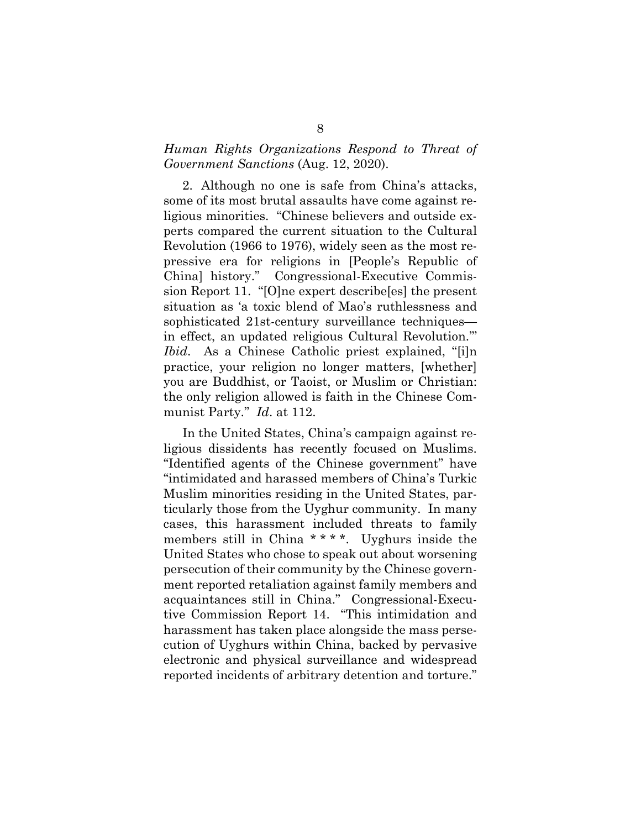#### *Human Rights Organizations Respond to Threat of Government Sanctions* (Aug. 12, 2020).

2. Although no one is safe from China's attacks, some of its most brutal assaults have come against religious minorities. "Chinese believers and outside experts compared the current situation to the Cultural Revolution (1966 to 1976), widely seen as the most repressive era for religions in [People's Republic of China] history." Congressional-Executive Commission Report 11. "[O]ne expert describe[es] the present situation as 'a toxic blend of Mao's ruthlessness and sophisticated 21st-century surveillance techniques in effect, an updated religious Cultural Revolution.''' *Ibid.* As a Chinese Catholic priest explained, "[i]n practice, your religion no longer matters, [whether] you are Buddhist, or Taoist, or Muslim or Christian: the only religion allowed is faith in the Chinese Communist Party.'' *Id*. at 112.

In the United States, China's campaign against religious dissidents has recently focused on Muslims. "Identified agents of the Chinese government" have "intimidated and harassed members of China's Turkic Muslim minorities residing in the United States, particularly those from the Uyghur community. In many cases, this harassment included threats to family members still in China \* \* \* \*. Uyghurs inside the United States who chose to speak out about worsening persecution of their community by the Chinese government reported retaliation against family members and acquaintances still in China." Congressional-Executive Commission Report 14. "This intimidation and harassment has taken place alongside the mass persecution of Uyghurs within China, backed by pervasive electronic and physical surveillance and widespread reported incidents of arbitrary detention and torture."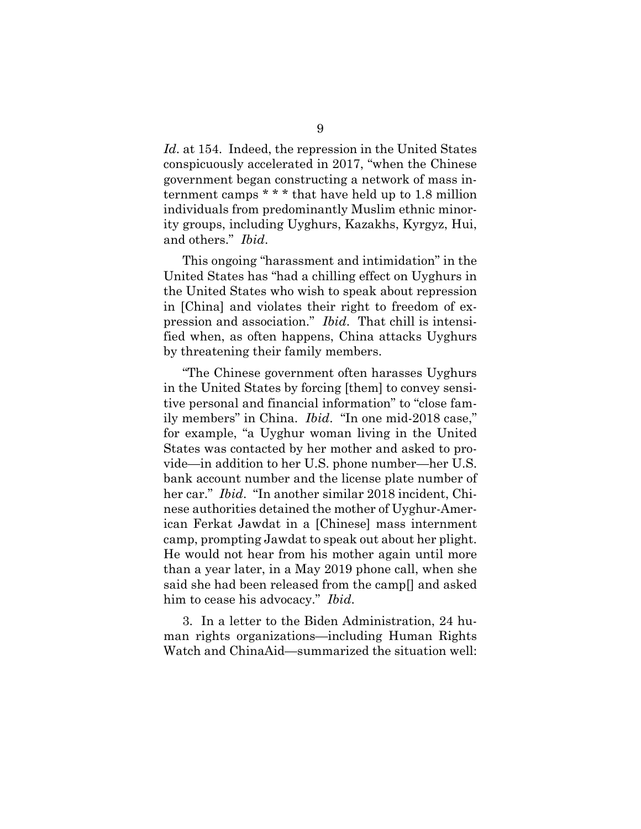*Id*. at 154. Indeed, the repression in the United States conspicuously accelerated in 2017, "when the Chinese government began constructing a network of mass internment camps \* \* \* that have held up to 1.8 million individuals from predominantly Muslim ethnic minority groups, including Uyghurs, Kazakhs, Kyrgyz, Hui, and others." *Ibid*.

This ongoing "harassment and intimidation" in the United States has "had a chilling effect on Uyghurs in the United States who wish to speak about repression in [China] and violates their right to freedom of expression and association." *Ibid*. That chill is intensified when, as often happens, China attacks Uyghurs by threatening their family members.

"The Chinese government often harasses Uyghurs in the United States by forcing [them] to convey sensitive personal and financial information" to "close family members" in China. *Ibid*. "In one mid-2018 case," for example, "a Uyghur woman living in the United States was contacted by her mother and asked to provide—in addition to her U.S. phone number—her U.S. bank account number and the license plate number of her car." *Ibid*. "In another similar 2018 incident, Chinese authorities detained the mother of Uyghur-American Ferkat Jawdat in a [Chinese] mass internment camp, prompting Jawdat to speak out about her plight. He would not hear from his mother again until more than a year later, in a May 2019 phone call, when she said she had been released from the camp[] and asked him to cease his advocacy." *Ibid*.

3. In a letter to the Biden Administration, 24 human rights organizations—including Human Rights Watch and ChinaAid—summarized the situation well: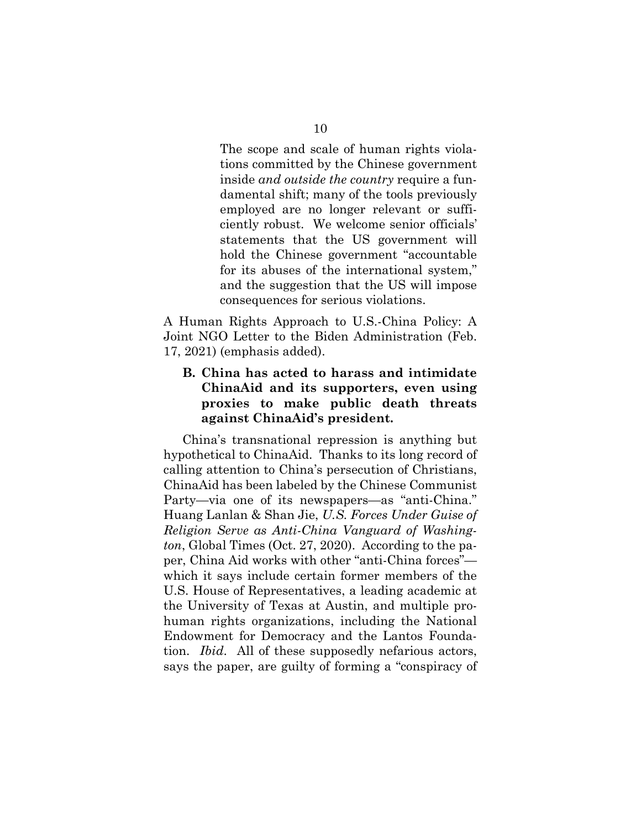The scope and scale of human rights violations committed by the Chinese government inside *and outside the country* require a fundamental shift; many of the tools previously employed are no longer relevant or sufficiently robust. We welcome senior officials' statements that the US government will hold the Chinese government "accountable for its abuses of the international system," and the suggestion that the US will impose consequences for serious violations.

A Human Rights Approach to U.S.-China Policy: A Joint NGO Letter to the Biden Administration (Feb. 17, 2021) (emphasis added).

#### **B. China has acted to harass and intimidate ChinaAid and its supporters, even using proxies to make public death threats against ChinaAid's president.**

China's transnational repression is anything but hypothetical to ChinaAid. Thanks to its long record of calling attention to China's persecution of Christians, ChinaAid has been labeled by the Chinese Communist Party—via one of its newspapers—as "anti-China." Huang Lanlan & Shan Jie, *U.S. Forces Under Guise of Religion Serve as Anti-China Vanguard of Washington*, Global Times (Oct. 27, 2020). According to the paper, China Aid works with other "anti-China forces" which it says include certain former members of the U.S. House of Representatives, a leading academic at the University of Texas at Austin, and multiple prohuman rights organizations, including the National Endowment for Democracy and the Lantos Foundation. *Ibid*. All of these supposedly nefarious actors, says the paper, are guilty of forming a "conspiracy of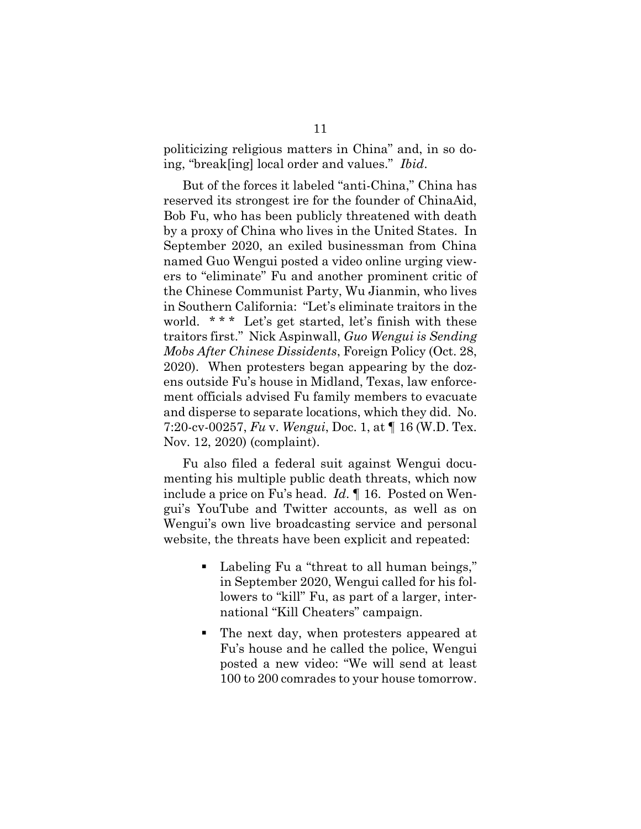politicizing religious matters in China" and, in so doing, "break[ing] local order and values." *Ibid*.

But of the forces it labeled "anti-China," China has reserved its strongest ire for the founder of ChinaAid, Bob Fu, who has been publicly threatened with death by a proxy of China who lives in the United States. In September 2020, an exiled businessman from China named Guo Wengui posted a video online urging viewers to "eliminate" Fu and another prominent critic of the Chinese Communist Party, Wu Jianmin, who lives in Southern California: "Let's eliminate traitors in the world. \*\*\* Let's get started, let's finish with these traitors first." Nick Aspinwall, *Guo Wengui is Sending Mobs After Chinese Dissidents*, Foreign Policy (Oct. 28, 2020). When protesters began appearing by the dozens outside Fu's house in Midland, Texas, law enforcement officials advised Fu family members to evacuate and disperse to separate locations, which they did. No. 7:20-cv-00257, *Fu* v. *Wengui*, Doc. 1, at ¶ 16 (W.D. Tex. Nov. 12, 2020) (complaint).

Fu also filed a federal suit against Wengui documenting his multiple public death threats, which now include a price on Fu's head. *Id*. ¶ 16. Posted on Wengui's YouTube and Twitter accounts, as well as on Wengui's own live broadcasting service and personal website, the threats have been explicit and repeated:

- Labeling Fu a "threat to all human beings," in September 2020, Wengui called for his followers to "kill" Fu, as part of a larger, international "Kill Cheaters" campaign.
- The next day, when protesters appeared at Fu's house and he called the police, Wengui posted a new video: "We will send at least 100 to 200 comrades to your house tomorrow.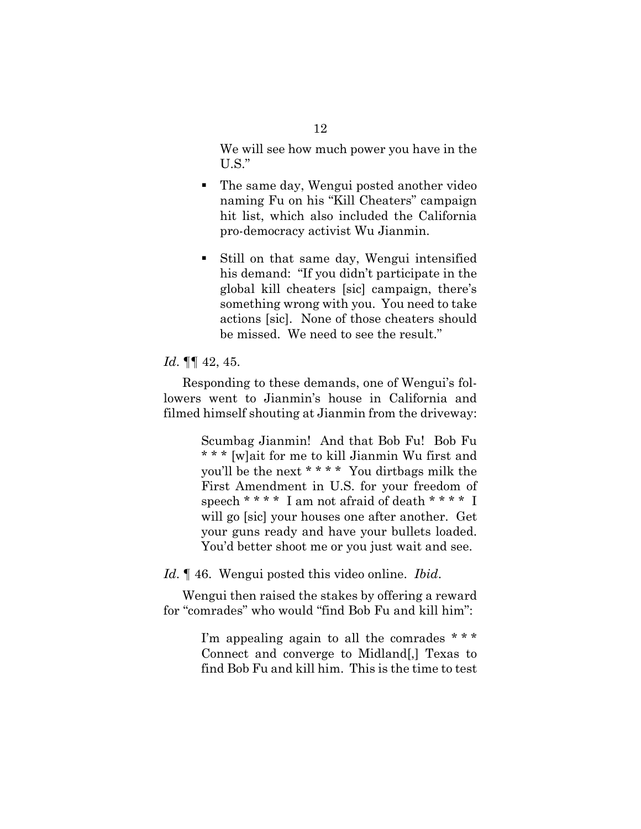We will see how much power you have in the U.S."

- The same day, Wengui posted another video naming Fu on his "Kill Cheaters" campaign hit list, which also included the California pro-democracy activist Wu Jianmin.
- Still on that same day, Wengui intensified his demand: "If you didn't participate in the global kill cheaters [sic] campaign, there's something wrong with you. You need to take actions [sic]. None of those cheaters should be missed. We need to see the result."

#### *Id*. ¶¶ 42, 45.

Responding to these demands, one of Wengui's followers went to Jianmin's house in California and filmed himself shouting at Jianmin from the driveway:

> Scumbag Jianmin! And that Bob Fu! Bob Fu \* \* \* [w]ait for me to kill Jianmin Wu first and you'll be the next \* \* \* \* You dirtbags milk the First Amendment in U.S. for your freedom of speech \* \* \* \* I am not afraid of death \* \* \* \* I will go [sic] your houses one after another. Get your guns ready and have your bullets loaded. You'd better shoot me or you just wait and see.

*Id*. ¶ 46. Wengui posted this video online. *Ibid*.

Wengui then raised the stakes by offering a reward for "comrades" who would "find Bob Fu and kill him":

> I'm appealing again to all the comrades  $***$ Connect and converge to Midland[,] Texas to find Bob Fu and kill him. This is the time to test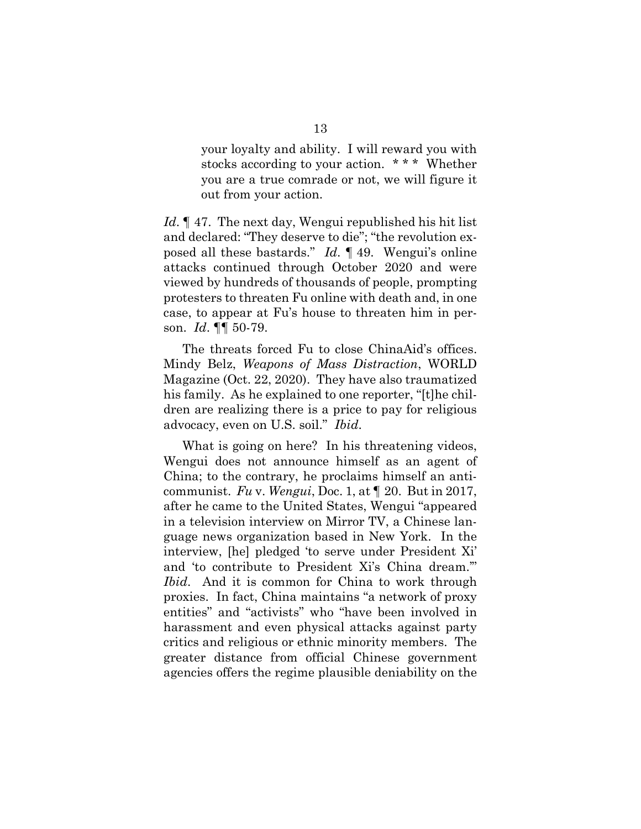your loyalty and ability. I will reward you with stocks according to your action. \* \* \* Whether you are a true comrade or not, we will figure it out from your action.

*Id*. ¶ 47. The next day, Wengui republished his hit list and declared: "They deserve to die"; "the revolution exposed all these bastards." *Id*. ¶ 49. Wengui's online attacks continued through October 2020 and were viewed by hundreds of thousands of people, prompting protesters to threaten Fu online with death and, in one case, to appear at Fu's house to threaten him in person. *Id*. ¶¶ 50-79.

The threats forced Fu to close ChinaAid's offices. Mindy Belz, *Weapons of Mass Distraction*, WORLD Magazine (Oct. 22, 2020). They have also traumatized his family. As he explained to one reporter, "[t]he children are realizing there is a price to pay for religious advocacy, even on U.S. soil." *Ibid*.

What is going on here? In his threatening videos, Wengui does not announce himself as an agent of China; to the contrary, he proclaims himself an anticommunist. *Fu* v. *Wengui*, Doc. 1, at ¶ 20. But in 2017, after he came to the United States, Wengui "appeared in a television interview on Mirror TV, a Chinese language news organization based in New York. In the interview, [he] pledged 'to serve under President Xi' and 'to contribute to President Xi's China dream.'" *Ibid*. And it is common for China to work through proxies. In fact, China maintains "a network of proxy entities" and "activists" who "have been involved in harassment and even physical attacks against party critics and religious or ethnic minority members. The greater distance from official Chinese government agencies offers the regime plausible deniability on the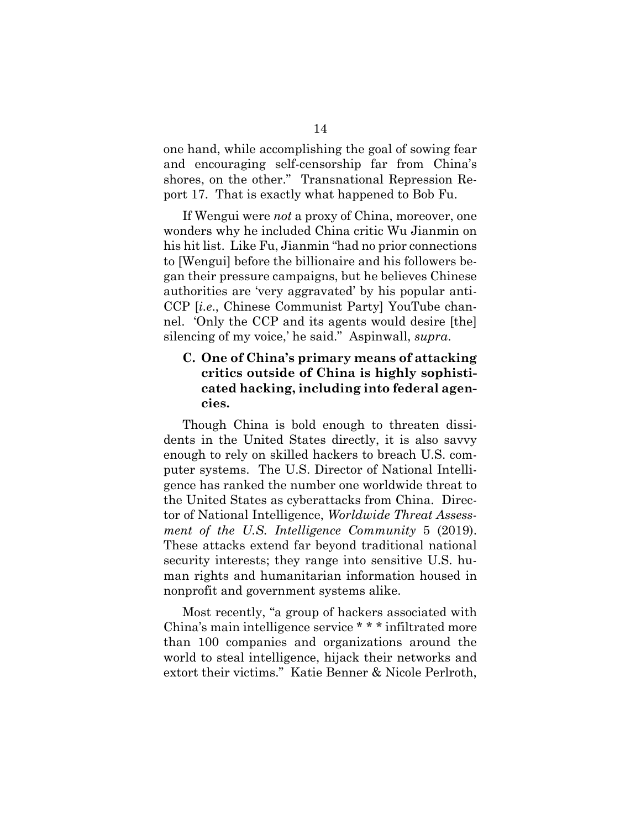one hand, while accomplishing the goal of sowing fear and encouraging self-censorship far from China's shores, on the other." Transnational Repression Report 17. That is exactly what happened to Bob Fu.

If Wengui were *not* a proxy of China, moreover, one wonders why he included China critic Wu Jianmin on his hit list. Like Fu, Jianmin "had no prior connections to [Wengui] before the billionaire and his followers began their pressure campaigns, but he believes Chinese authorities are 'very aggravated' by his popular anti-CCP [*i.e*., Chinese Communist Party] YouTube channel. 'Only the CCP and its agents would desire [the] silencing of my voice,' he said." Aspinwall, *supra*.

### **C. One of China's primary means of attacking critics outside of China is highly sophisticated hacking, including into federal agencies.**

Though China is bold enough to threaten dissidents in the United States directly, it is also savvy enough to rely on skilled hackers to breach U.S. computer systems. The U.S. Director of National Intelligence has ranked the number one worldwide threat to the United States as cyberattacks from China. Director of National Intelligence, *Worldwide Threat Assessment of the U.S. Intelligence Community* 5 (2019). These attacks extend far beyond traditional national security interests; they range into sensitive U.S. human rights and humanitarian information housed in nonprofit and government systems alike.

Most recently, "a group of hackers associated with China's main intelligence service \* \* \* infiltrated more than 100 companies and organizations around the world to steal intelligence, hijack their networks and extort their victims." Katie Benner & Nicole Perlroth,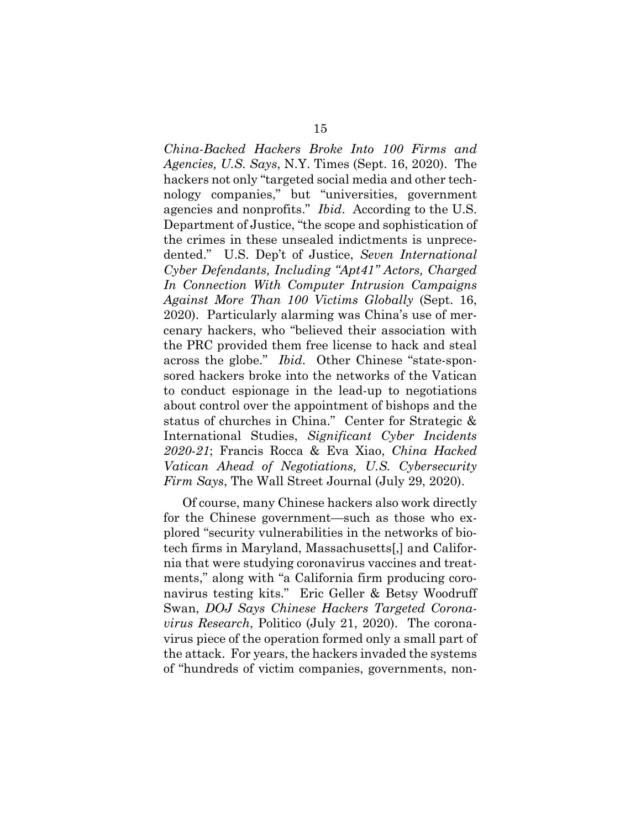*China-Backed Hackers Broke Into 100 Firms and Agencies, U.S. Says*, N.Y. Times (Sept. 16, 2020). The hackers not only "targeted social media and other technology companies," but "universities, government agencies and nonprofits." *Ibid*. According to the U.S. Department of Justice, "the scope and sophistication of the crimes in these unsealed indictments is unprecedented." U.S. Dep't of Justice, *Seven International Cyber Defendants, Including "Apt41" Actors, Charged In Connection With Computer Intrusion Campaigns Against More Than 100 Victims Globally* (Sept. 16, 2020). Particularly alarming was China's use of mercenary hackers, who "believed their association with the PRC provided them free license to hack and steal across the globe." *Ibid*. Other Chinese "state-sponsored hackers broke into the networks of the Vatican to conduct espionage in the lead-up to negotiations about control over the appointment of bishops and the status of churches in China." Center for Strategic & International Studies, *Significant Cyber Incidents 2020-21*; Francis Rocca & Eva Xiao, *China Hacked Vatican Ahead of Negotiations, U.S. Cybersecurity Firm Says*, The Wall Street Journal (July 29, 2020).

Of course, many Chinese hackers also work directly for the Chinese government—such as those who explored "security vulnerabilities in the networks of biotech firms in Maryland, Massachusetts[,] and California that were studying coronavirus vaccines and treatments," along with "a California firm producing coronavirus testing kits." Eric Geller & Betsy Woodruff Swan, *DOJ Says Chinese Hackers Targeted Coronavirus Research*, Politico (July 21, 2020). The coronavirus piece of the operation formed only a small part of the attack. For years, the hackers invaded the systems of "hundreds of victim companies, governments, non-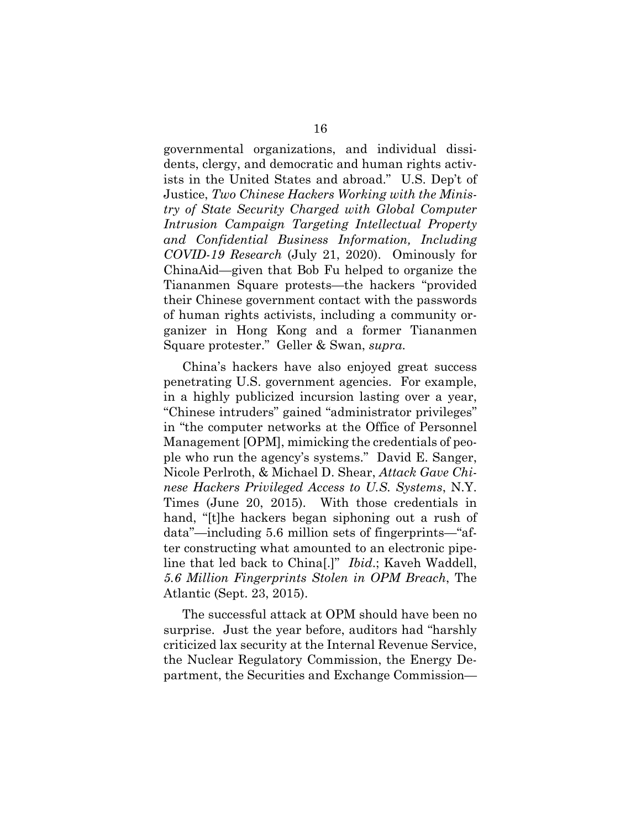governmental organizations, and individual dissidents, clergy, and democratic and human rights activists in the United States and abroad." U.S. Dep't of Justice, *Two Chinese Hackers Working with the Ministry of State Security Charged with Global Computer Intrusion Campaign Targeting Intellectual Property and Confidential Business Information, Including COVID-19 Research* (July 21, 2020). Ominously for ChinaAid—given that Bob Fu helped to organize the Tiananmen Square protests—the hackers "provided their Chinese government contact with the passwords of human rights activists, including a community organizer in Hong Kong and a former Tiananmen Square protester." Geller & Swan, *supra*.

China's hackers have also enjoyed great success penetrating U.S. government agencies. For example, in a highly publicized incursion lasting over a year, "Chinese intruders" gained "administrator privileges" in "the computer networks at the Office of Personnel Management [OPM], mimicking the credentials of people who run the agency's systems." David E. Sanger, Nicole Perlroth, & Michael D. Shear, *Attack Gave Chinese Hackers Privileged Access to U.S. Systems*, N.Y. Times (June 20, 2015). With those credentials in hand, "[t]he hackers began siphoning out a rush of data"—including 5.6 million sets of fingerprints—"after constructing what amounted to an electronic pipeline that led back to China[.]" *Ibid*.; Kaveh Waddell, *5.6 Million Fingerprints Stolen in OPM Breach*, The Atlantic (Sept. 23, 2015).

The successful attack at OPM should have been no surprise. Just the year before, auditors had "harshly criticized lax security at the Internal Revenue Service, the Nuclear Regulatory Commission, the Energy Department, the Securities and Exchange Commission—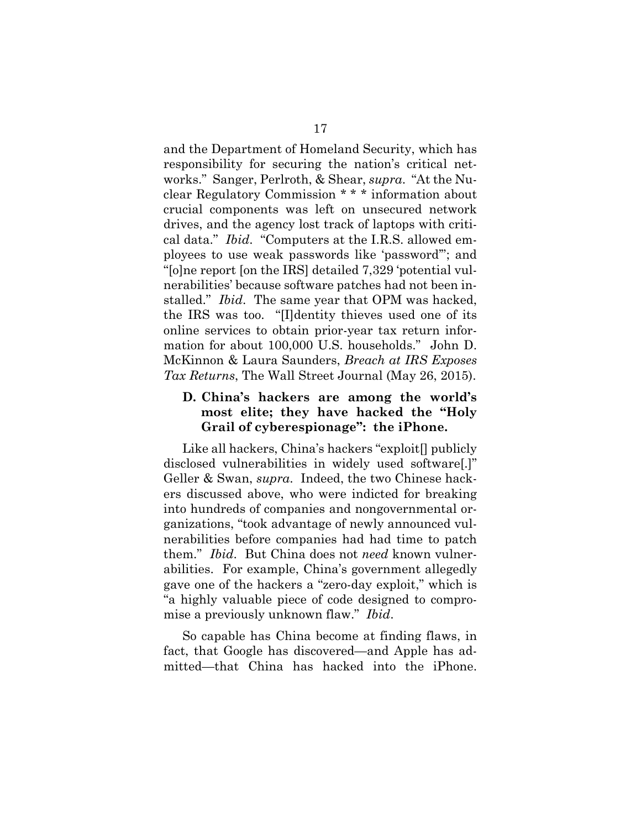and the Department of Homeland Security, which has responsibility for securing the nation's critical networks." Sanger, Perlroth, & Shear, *supra*. "At the Nuclear Regulatory Commission \* \* \* information about crucial components was left on unsecured network drives, and the agency lost track of laptops with critical data." *Ibid*. "Computers at the I.R.S. allowed employees to use weak passwords like 'password'"; and "[o]ne report [on the IRS] detailed 7,329 'potential vulnerabilities' because software patches had not been installed." *Ibid*. The same year that OPM was hacked, the IRS was too. "[I]dentity thieves used one of its online services to obtain prior-year tax return information for about 100,000 U.S. households." John D. McKinnon & Laura Saunders, *Breach at IRS Exposes Tax Returns*, The Wall Street Journal (May 26, 2015).

#### **D. China's hackers are among the world's most elite; they have hacked the "Holy Grail of cyberespionage": the iPhone.**

Like all hackers, China's hackers "exploit[] publicly disclosed vulnerabilities in widely used software[.]" Geller & Swan, *supra*. Indeed, the two Chinese hackers discussed above, who were indicted for breaking into hundreds of companies and nongovernmental organizations, "took advantage of newly announced vulnerabilities before companies had had time to patch them." *Ibid*. But China does not *need* known vulnerabilities. For example, China's government allegedly gave one of the hackers a "zero-day exploit," which is "a highly valuable piece of code designed to compromise a previously unknown flaw." *Ibid*.

So capable has China become at finding flaws, in fact, that Google has discovered—and Apple has admitted—that China has hacked into the iPhone.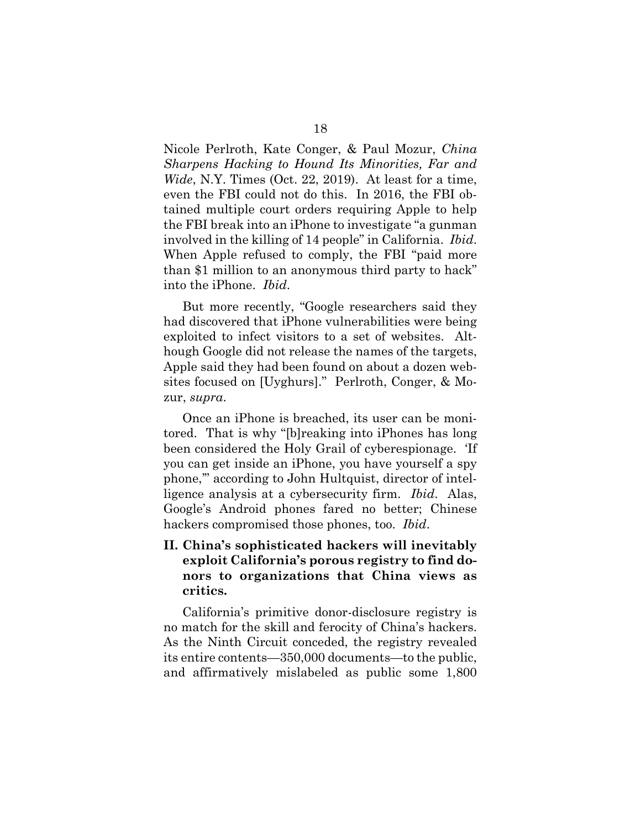Nicole Perlroth, Kate Conger, & Paul Mozur, *China Sharpens Hacking to Hound Its Minorities, Far and Wide*, N.Y. Times (Oct. 22, 2019). At least for a time, even the FBI could not do this. In 2016, the FBI obtained multiple court orders requiring Apple to help the FBI break into an iPhone to investigate "a gunman involved in the killing of 14 people" in California. *Ibid*. When Apple refused to comply, the FBI "paid more than \$1 million to an anonymous third party to hack" into the iPhone. *Ibid*.

But more recently, "Google researchers said they had discovered that iPhone vulnerabilities were being exploited to infect visitors to a set of websites. Although Google did not release the names of the targets, Apple said they had been found on about a dozen websites focused on [Uyghurs]." Perlroth, Conger, & Mozur, *supra*.

Once an iPhone is breached, its user can be monitored. That is why "[b]reaking into iPhones has long been considered the Holy Grail of cyberespionage. 'If you can get inside an iPhone, you have yourself a spy phone,'" according to John Hultquist, director of intelligence analysis at a cybersecurity firm. *Ibid*. Alas, Google's Android phones fared no better; Chinese hackers compromised those phones, too. *Ibid*.

## **II. China's sophisticated hackers will inevitably exploit California's porous registry to find donors to organizations that China views as critics.**

California's primitive donor-disclosure registry is no match for the skill and ferocity of China's hackers. As the Ninth Circuit conceded, the registry revealed its entire contents—350,000 documents—to the public, and affirmatively mislabeled as public some 1,800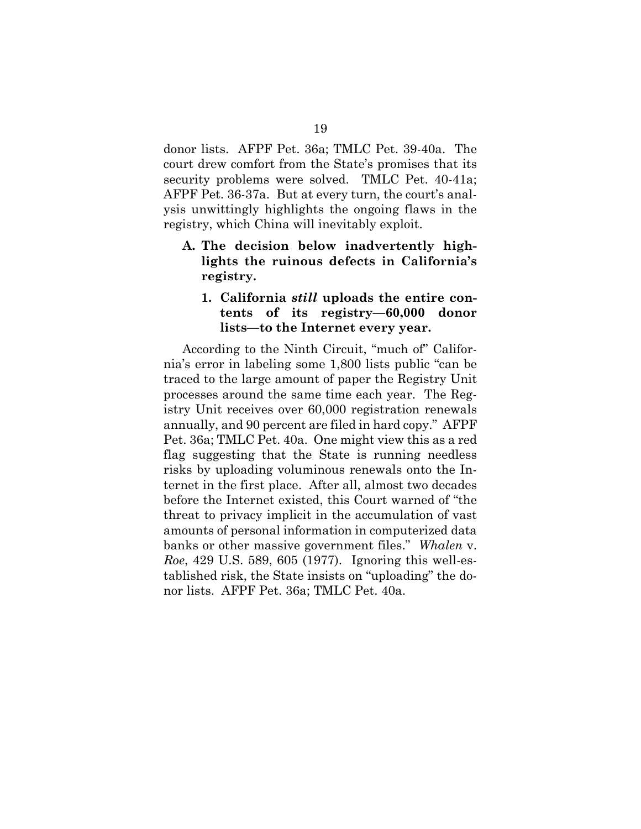donor lists. AFPF Pet. 36a; TMLC Pet. 39-40a. The court drew comfort from the State's promises that its security problems were solved. TMLC Pet. 40-41a; AFPF Pet. 36-37a. But at every turn, the court's analysis unwittingly highlights the ongoing flaws in the registry, which China will inevitably exploit.

**A. The decision below inadvertently highlights the ruinous defects in California's registry.**

#### **1. California** *still* **uploads the entire contents of its registry—60,000 donor lists—to the Internet every year.**

According to the Ninth Circuit, "much of" California's error in labeling some 1,800 lists public "can be traced to the large amount of paper the Registry Unit processes around the same time each year. The Registry Unit receives over 60,000 registration renewals annually, and 90 percent are filed in hard copy." AFPF Pet. 36a; TMLC Pet. 40a. One might view this as a red flag suggesting that the State is running needless risks by uploading voluminous renewals onto the Internet in the first place. After all, almost two decades before the Internet existed, this Court warned of "the threat to privacy implicit in the accumulation of vast amounts of personal information in computerized data banks or other massive government files." *Whalen* v. *Roe*, 429 U.S. 589, 605 (1977). Ignoring this well-established risk, the State insists on "uploading" the donor lists. AFPF Pet. 36a; TMLC Pet. 40a.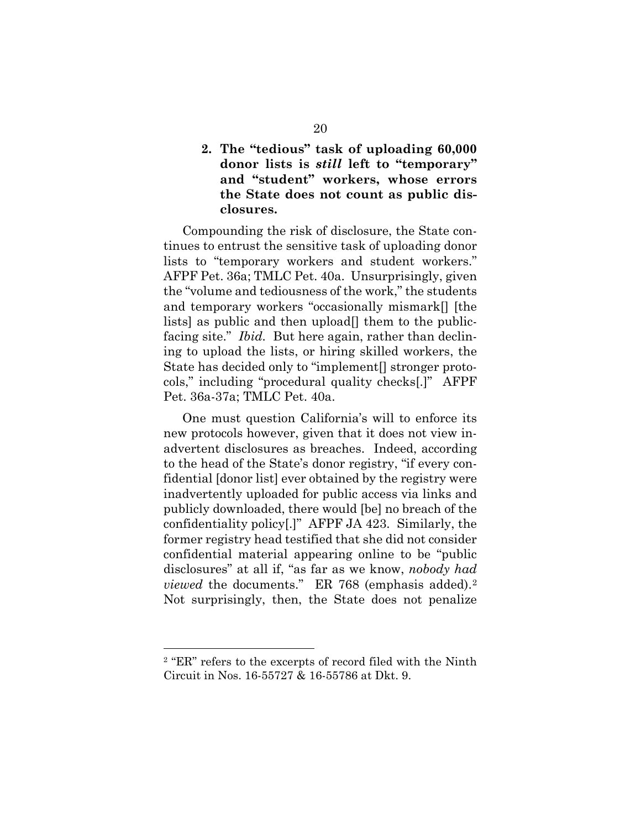**2. The "tedious" task of uploading 60,000 donor lists is** *still* **left to "temporary" and "student" workers, whose errors the State does not count as public disclosures.** 

Compounding the risk of disclosure, the State continues to entrust the sensitive task of uploading donor lists to "temporary workers and student workers." AFPF Pet. 36a; TMLC Pet. 40a. Unsurprisingly, given the "volume and tediousness of the work," the students and temporary workers "occasionally mismark[] [the lists] as public and then upload[] them to the publicfacing site." *Ibid.* But here again, rather than declining to upload the lists, or hiring skilled workers, the State has decided only to "implement[] stronger protocols," including "procedural quality checks[.]" AFPF Pet. 36a-37a; TMLC Pet. 40a.

One must question California's will to enforce its new protocols however, given that it does not view inadvertent disclosures as breaches. Indeed, according to the head of the State's donor registry, "if every confidential [donor list] ever obtained by the registry were inadvertently uploaded for public access via links and publicly downloaded, there would [be] no breach of the confidentiality policy[.]" AFPF JA 423. Similarly, the former registry head testified that she did not consider confidential material appearing online to be "public disclosures" at all if, "as far as we know, *nobody had viewed* the documents." ER 768 (emphasis added).<sup>2</sup> Not surprisingly, then, the State does not penalize

<span id="page-25-0"></span><sup>2</sup> "ER" refers to the excerpts of record filed with the Ninth Circuit in Nos. 16-55727 & 16-55786 at Dkt. 9.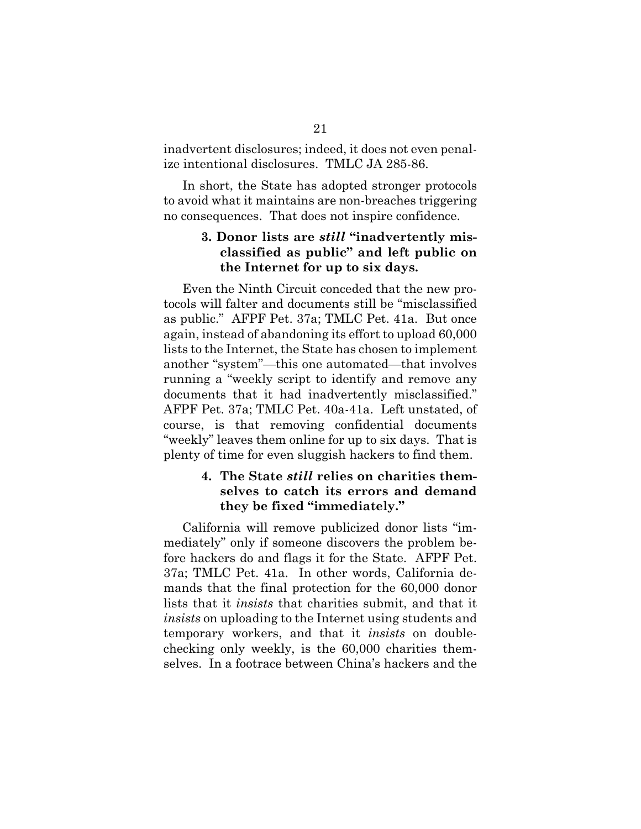inadvertent disclosures; indeed, it does not even penalize intentional disclosures. TMLC JA 285-86.

In short, the State has adopted stronger protocols to avoid what it maintains are non-breaches triggering no consequences. That does not inspire confidence.

#### **3. Donor lists are** *still* **"inadvertently misclassified as public" and left public on the Internet for up to six days.**

Even the Ninth Circuit conceded that the new protocols will falter and documents still be "misclassified as public." AFPF Pet. 37a; TMLC Pet. 41a. But once again, instead of abandoning its effort to upload 60,000 lists to the Internet, the State has chosen to implement another "system"—this one automated—that involves running a "weekly script to identify and remove any documents that it had inadvertently misclassified." AFPF Pet. 37a; TMLC Pet. 40a-41a. Left unstated, of course, is that removing confidential documents "weekly" leaves them online for up to six days. That is plenty of time for even sluggish hackers to find them.

#### **4. The State** *still* **relies on charities themselves to catch its errors and demand they be fixed "immediately."**

California will remove publicized donor lists "immediately" only if someone discovers the problem before hackers do and flags it for the State. AFPF Pet. 37a; TMLC Pet. 41a. In other words, California demands that the final protection for the 60,000 donor lists that it *insists* that charities submit, and that it *insists* on uploading to the Internet using students and temporary workers, and that it *insists* on doublechecking only weekly, is the 60,000 charities themselves. In a footrace between China's hackers and the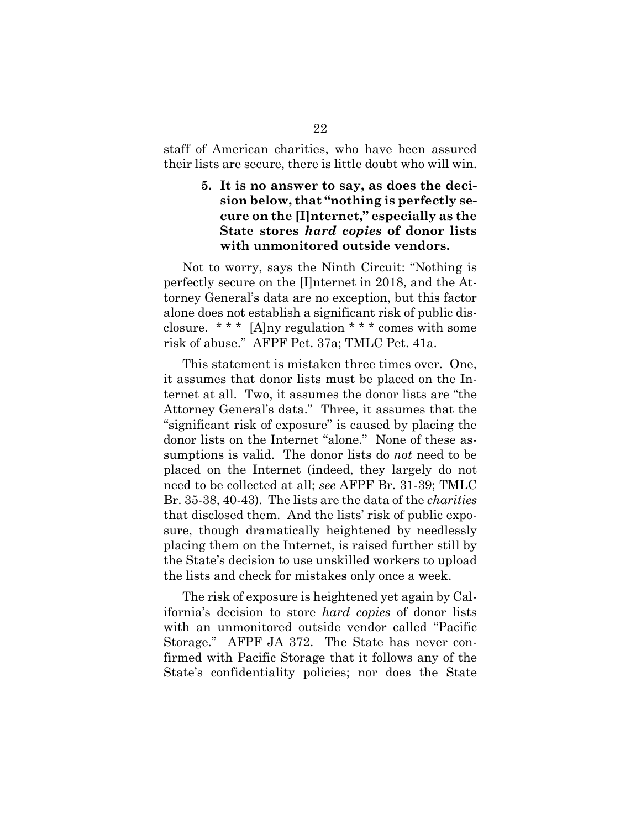staff of American charities, who have been assured their lists are secure, there is little doubt who will win.

#### **5. It is no answer to say, as does the decision below, that "nothing is perfectly secure on the [I]nternet," especially as the State stores** *hard copies* **of donor lists with unmonitored outside vendors.**

Not to worry, says the Ninth Circuit: "Nothing is perfectly secure on the [I]nternet in 2018, and the Attorney General's data are no exception, but this factor alone does not establish a significant risk of public disclosure. \*\*\*  $[A]$ ny regulation \*\*\* comes with some risk of abuse." AFPF Pet. 37a; TMLC Pet. 41a.

This statement is mistaken three times over. One, it assumes that donor lists must be placed on the Internet at all. Two, it assumes the donor lists are "the Attorney General's data." Three, it assumes that the "significant risk of exposure" is caused by placing the donor lists on the Internet "alone." None of these assumptions is valid. The donor lists do *not* need to be placed on the Internet (indeed, they largely do not need to be collected at all; *see* AFPF Br. 31-39; TMLC Br. 35-38, 40-43). The lists are the data of the *charities* that disclosed them. And the lists' risk of public exposure, though dramatically heightened by needlessly placing them on the Internet, is raised further still by the State's decision to use unskilled workers to upload the lists and check for mistakes only once a week.

The risk of exposure is heightened yet again by California's decision to store *hard copies* of donor lists with an unmonitored outside vendor called "Pacific Storage." AFPF JA 372. The State has never confirmed with Pacific Storage that it follows any of the State's confidentiality policies; nor does the State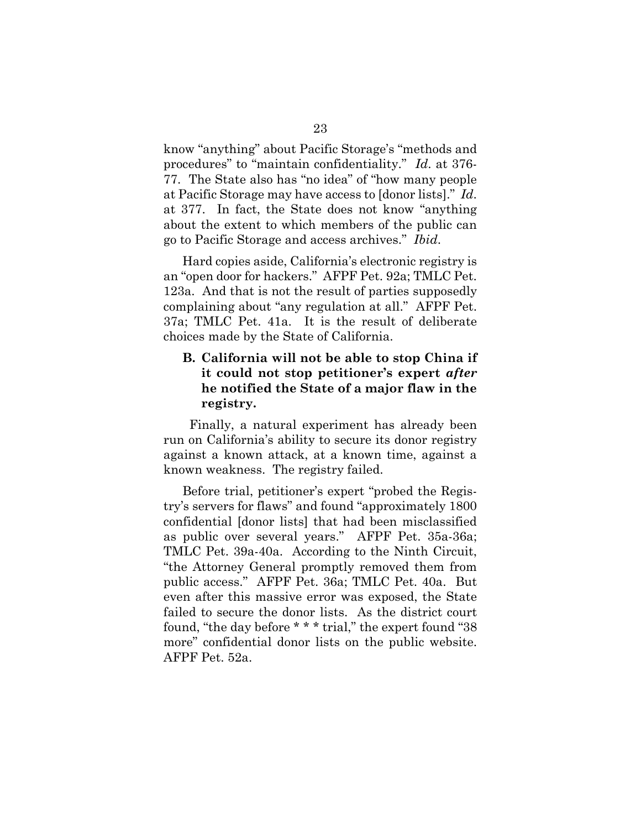know "anything" about Pacific Storage's "methods and procedures" to "maintain confidentiality." *Id*. at 376- 77.The State also has "no idea" of "how many people at Pacific Storage may have access to [donor lists]." *Id*. at 377. In fact, the State does not know "anything about the extent to which members of the public can go to Pacific Storage and access archives." *Ibid*.

Hard copies aside, California's electronic registry is an "open door for hackers." AFPF Pet. 92a; TMLC Pet. 123a. And that is not the result of parties supposedly complaining about "any regulation at all." AFPF Pet. 37a; TMLC Pet. 41a. It is the result of deliberate choices made by the State of California.

## **B. California will not be able to stop China if it could not stop petitioner's expert** *after*  **he notified the State of a major flaw in the registry.**

 Finally, a natural experiment has already been run on California's ability to secure its donor registry against a known attack, at a known time, against a known weakness. The registry failed.

Before trial, petitioner's expert "probed the Registry's servers for flaws" and found "approximately 1800 confidential [donor lists] that had been misclassified as public over several years." AFPF Pet. 35a-36a; TMLC Pet. 39a-40a. According to the Ninth Circuit, "the Attorney General promptly removed them from public access." AFPF Pet. 36a; TMLC Pet. 40a. But even after this massive error was exposed, the State failed to secure the donor lists. As the district court found, "the day before \* \* \* trial," the expert found "38 more" confidential donor lists on the public website. AFPF Pet. 52a.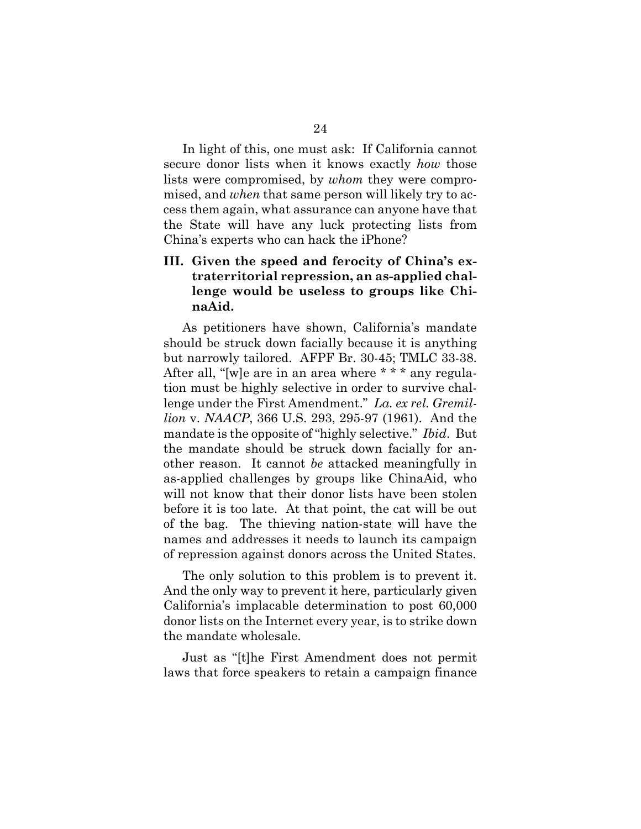In light of this, one must ask: If California cannot secure donor lists when it knows exactly *how* those lists were compromised, by *whom* they were compromised, and *when* that same person will likely try to access them again, what assurance can anyone have that the State will have any luck protecting lists from China's experts who can hack the iPhone?

#### **III. Given the speed and ferocity of China's extraterritorial repression, an as-applied challenge would be useless to groups like ChinaAid.**

As petitioners have shown, California's mandate should be struck down facially because it is anything but narrowly tailored. AFPF Br. 30-45; TMLC 33-38. After all, "[w]e are in an area where \* \* \* any regulation must be highly selective in order to survive challenge under the First Amendment." *La. ex rel. Gremillion* v. *NAACP*, 366 U.S. 293, 295-97 (1961). And the mandate is the opposite of "highly selective." *Ibid*. But the mandate should be struck down facially for another reason. It cannot *be* attacked meaningfully in as-applied challenges by groups like ChinaAid, who will not know that their donor lists have been stolen before it is too late. At that point, the cat will be out of the bag. The thieving nation-state will have the names and addresses it needs to launch its campaign of repression against donors across the United States.

The only solution to this problem is to prevent it. And the only way to prevent it here, particularly given California's implacable determination to post 60,000 donor lists on the Internet every year, is to strike down the mandate wholesale.

Just as "[t]he First Amendment does not permit laws that force speakers to retain a campaign finance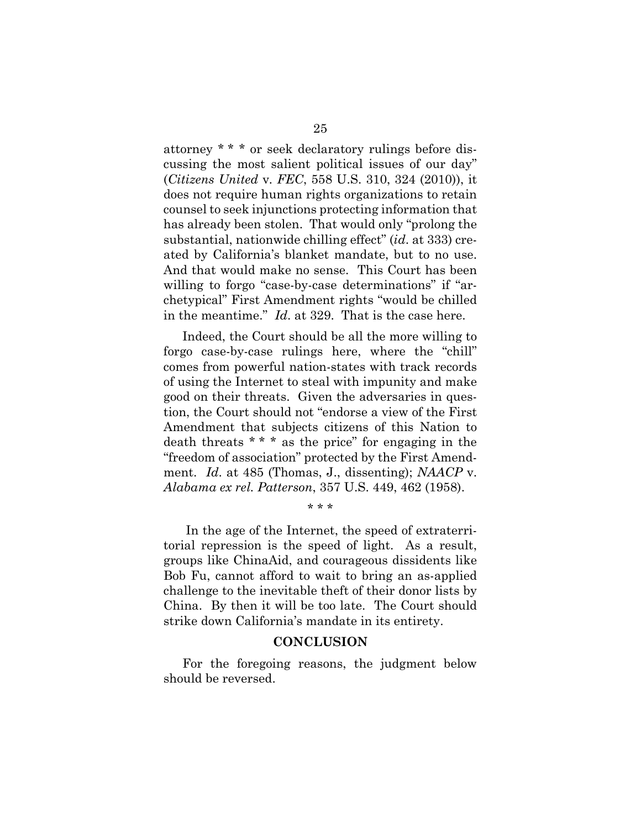attorney \* \* \* or seek declaratory rulings before discussing the most salient political issues of our day" (*Citizens United* v*. FEC*, 558 U.S. 310, 324 (2010)), it does not require human rights organizations to retain counsel to seek injunctions protecting information that has already been stolen. That would only "prolong the substantial, nationwide chilling effect" (*id*. at 333) created by California's blanket mandate, but to no use. And that would make no sense. This Court has been willing to forgo "case-by-case determinations" if "archetypical" First Amendment rights "would be chilled in the meantime." *Id*. at 329. That is the case here.

Indeed, the Court should be all the more willing to forgo case-by-case rulings here, where the "chill" comes from powerful nation-states with track records of using the Internet to steal with impunity and make good on their threats. Given the adversaries in question, the Court should not "endorse a view of the First Amendment that subjects citizens of this Nation to death threats \* \* \* as the price" for engaging in the "freedom of association" protected by the First Amendment. *Id*. at 485 (Thomas, J., dissenting); *NAACP* v. *Alabama ex rel. Patterson*, 357 U.S. 449, 462 (1958).

In the age of the Internet, the speed of extraterritorial repression is the speed of light. As a result, groups like ChinaAid, and courageous dissidents like Bob Fu, cannot afford to wait to bring an as-applied challenge to the inevitable theft of their donor lists by China. By then it will be too late. The Court should strike down California's mandate in its entirety.

\* \* \*

#### **CONCLUSION**

For the foregoing reasons, the judgment below should be reversed.